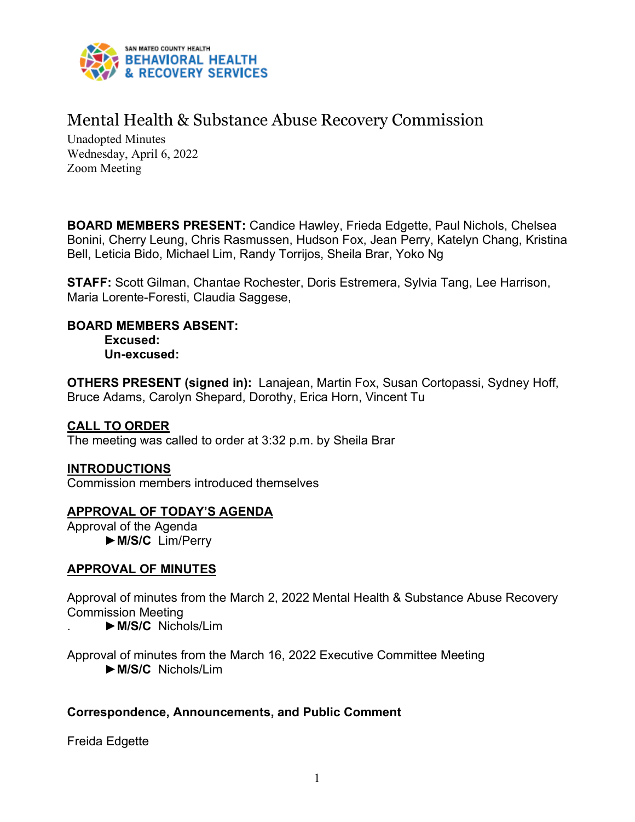

# Mental Health & Substance Abuse Recovery Commission

Unadopted Minutes Wednesday, April 6, 2022 Zoom Meeting

**BOARD MEMBERS PRESENT:** Candice Hawley, Frieda Edgette, Paul Nichols, Chelsea Bonini, Cherry Leung, Chris Rasmussen, Hudson Fox, Jean Perry, Katelyn Chang, Kristina Bell, Leticia Bido, Michael Lim, Randy Torrijos, Sheila Brar, Yoko Ng

**STAFF:** Scott Gilman, Chantae Rochester, Doris Estremera, Sylvia Tang, Lee Harrison, Maria Lorente-Foresti, Claudia Saggese,

**BOARD MEMBERS ABSENT:** 

**Excused: Un-excused:** 

**OTHERS PRESENT (signed in):** Lanajean, Martin Fox, Susan Cortopassi, Sydney Hoff, Bruce Adams, Carolyn Shepard, Dorothy, Erica Horn, Vincent Tu

# **CALL TO ORDER**

The meeting was called to order at 3:32 p.m. by Sheila Brar

# **INTRODUCTIONS**

Commission members introduced themselves

# **APPROVAL OF TODAY'S AGENDA**

Approval of the Agenda ►**M/S/C** Lim/Perry

# **APPROVAL OF MINUTES**

Approval of minutes from the March 2, 2022 Mental Health & Substance Abuse Recovery Commission Meeting

. ►**M/S/C** Nichols/Lim

Approval of minutes from the March 16, 2022 Executive Committee Meeting ►**M/S/C** Nichols/Lim

# **Correspondence, Announcements, and Public Comment**

Freida Edgette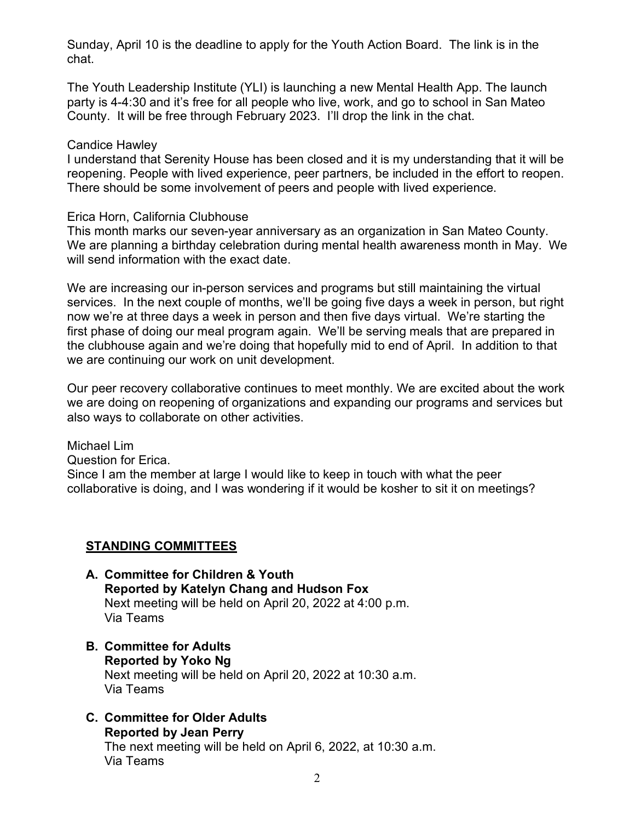Sunday, April 10 is the deadline to apply for the Youth Action Board. The link is in the chat.

The Youth Leadership Institute (YLI) is launching a new Mental Health App. The launch party is 4-4:30 and it's free for all people who live, work, and go to school in San Mateo County. It will be free through February 2023. I'll drop the link in the chat.

#### Candice Hawley

I understand that Serenity House has been closed and it is my understanding that it will be reopening. People with lived experience, peer partners, be included in the effort to reopen. There should be some involvement of peers and people with lived experience.

#### Erica Horn, California Clubhouse

This month marks our seven-year anniversary as an organization in San Mateo County. We are planning a birthday celebration during mental health awareness month in May. We will send information with the exact date.

We are increasing our in-person services and programs but still maintaining the virtual services. In the next couple of months, we'll be going five days a week in person, but right now we're at three days a week in person and then five days virtual. We're starting the first phase of doing our meal program again. We'll be serving meals that are prepared in the clubhouse again and we're doing that hopefully mid to end of April. In addition to that we are continuing our work on unit development.

Our peer recovery collaborative continues to meet monthly. We are excited about the work we are doing on reopening of organizations and expanding our programs and services but also ways to collaborate on other activities.

Michael Lim Question for Erica. Since I am the member at large I would like to keep in touch with what the peer collaborative is doing, and I was wondering if it would be kosher to sit it on meetings?

#### **STANDING COMMITTEES**

- **A. Committee for Children & Youth Reported by Katelyn Chang and Hudson Fox** Next meeting will be held on April 20, 2022 at 4:00 p.m. Via Teams
- **B. Committee for Adults Reported by Yoko Ng** Next meeting will be held on April 20, 2022 at 10:30 a.m. Via Teams
- **C. Committee for Older Adults Reported by Jean Perry** The next meeting will be held on April 6, 2022, at 10:30 a.m. Via Teams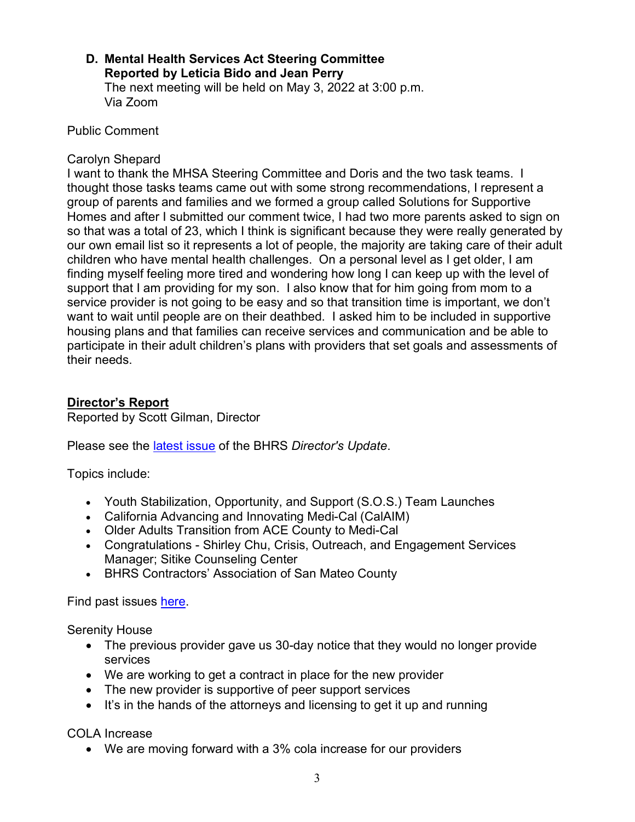#### **D. Mental Health Services Act Steering Committee Reported by Leticia Bido and Jean Perry** The next meeting will be held on May 3, 2022 at 3:00 p.m. Via Zoom

Public Comment

#### Carolyn Shepard

I want to thank the MHSA Steering Committee and Doris and the two task teams. I thought those tasks teams came out with some strong recommendations, I represent a group of parents and families and we formed a group called Solutions for Supportive Homes and after I submitted our comment twice, I had two more parents asked to sign on so that was a total of 23, which I think is significant because they were really generated by our own email list so it represents a lot of people, the majority are taking care of their adult children who have mental health challenges. On a personal level as I get older, I am finding myself feeling more tired and wondering how long I can keep up with the level of support that I am providing for my son. I also know that for him going from mom to a service provider is not going to be easy and so that transition time is important, we don't want to wait until people are on their deathbed. I asked him to be included in supportive housing plans and that families can receive services and communication and be able to participate in their adult children's plans with providers that set goals and assessments of their needs.

# **Director's Report**

Reported by Scott Gilman, Director

Please see the [latest issue](https://www.smchealth.org/sites/main/files/file-attachments/directors_update_apr_2022.pdf?1648770726) of the BHRS *Director's Update*.

Topics include:

- Youth Stabilization, Opportunity, and Support (S.O.S.) Team Launches
- California Advancing and Innovating Medi-Cal (CalAIM)
- Older Adults Transition from ACE County to Medi-Cal
- Congratulations Shirley Chu, Crisis, Outreach, and Engagement Services Manager; Sitike Counseling Center
- BHRS Contractors' Association of San Mateo County

Find past issues [here.](https://www.smchealth.org/bhrs/directors-update)

Serenity House

- The previous provider gave us 30-day notice that they would no longer provide services
- We are working to get a contract in place for the new provider
- The new provider is supportive of peer support services
- It's in the hands of the attorneys and licensing to get it up and running

COLA Increase

• We are moving forward with a 3% cola increase for our providers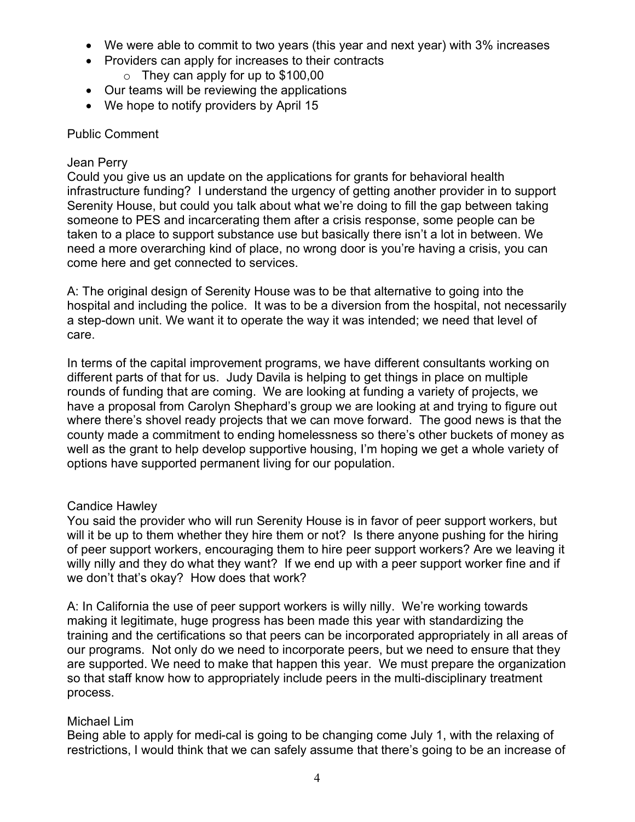- We were able to commit to two years (this year and next year) with 3% increases
- Providers can apply for increases to their contracts
	- $\circ$  They can apply for up to \$100,00
- Our teams will be reviewing the applications
- We hope to notify providers by April 15

# Public Comment

### Jean Perry

Could you give us an update on the applications for grants for behavioral health infrastructure funding? I understand the urgency of getting another provider in to support Serenity House, but could you talk about what we're doing to fill the gap between taking someone to PES and incarcerating them after a crisis response, some people can be taken to a place to support substance use but basically there isn't a lot in between. We need a more overarching kind of place, no wrong door is you're having a crisis, you can come here and get connected to services.

A: The original design of Serenity House was to be that alternative to going into the hospital and including the police. It was to be a diversion from the hospital, not necessarily a step-down unit. We want it to operate the way it was intended; we need that level of care.

In terms of the capital improvement programs, we have different consultants working on different parts of that for us. Judy Davila is helping to get things in place on multiple rounds of funding that are coming. We are looking at funding a variety of projects, we have a proposal from Carolyn Shephard's group we are looking at and trying to figure out where there's shovel ready projects that we can move forward. The good news is that the county made a commitment to ending homelessness so there's other buckets of money as well as the grant to help develop supportive housing, I'm hoping we get a whole variety of options have supported permanent living for our population.

# Candice Hawley

You said the provider who will run Serenity House is in favor of peer support workers, but will it be up to them whether they hire them or not? Is there anyone pushing for the hiring of peer support workers, encouraging them to hire peer support workers? Are we leaving it willy nilly and they do what they want? If we end up with a peer support worker fine and if we don't that's okay? How does that work?

A: In California the use of peer support workers is willy nilly. We're working towards making it legitimate, huge progress has been made this year with standardizing the training and the certifications so that peers can be incorporated appropriately in all areas of our programs. Not only do we need to incorporate peers, but we need to ensure that they are supported. We need to make that happen this year. We must prepare the organization so that staff know how to appropriately include peers in the multi-disciplinary treatment process.

# Michael Lim

Being able to apply for medi-cal is going to be changing come July 1, with the relaxing of restrictions, I would think that we can safely assume that there's going to be an increase of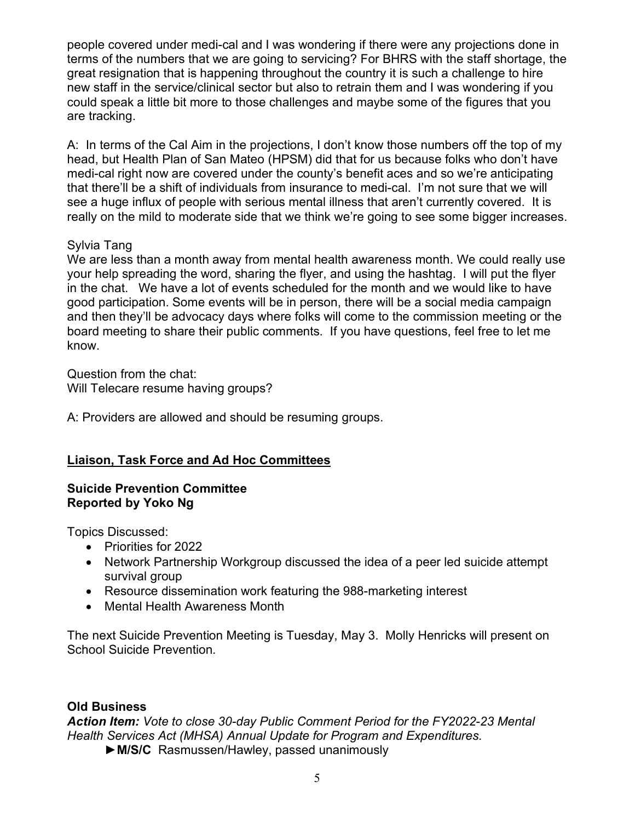people covered under medi-cal and I was wondering if there were any projections done in terms of the numbers that we are going to servicing? For BHRS with the staff shortage, the great resignation that is happening throughout the country it is such a challenge to hire new staff in the service/clinical sector but also to retrain them and I was wondering if you could speak a little bit more to those challenges and maybe some of the figures that you are tracking.

A: In terms of the Cal Aim in the projections, I don't know those numbers off the top of my head, but Health Plan of San Mateo (HPSM) did that for us because folks who don't have medi-cal right now are covered under the county's benefit aces and so we're anticipating that there'll be a shift of individuals from insurance to medi-cal. I'm not sure that we will see a huge influx of people with serious mental illness that aren't currently covered. It is really on the mild to moderate side that we think we're going to see some bigger increases.

# Sylvia Tang

We are less than a month away from mental health awareness month. We could really use your help spreading the word, sharing the flyer, and using the hashtag. I will put the flyer in the chat. We have a lot of events scheduled for the month and we would like to have good participation. Some events will be in person, there will be a social media campaign and then they'll be advocacy days where folks will come to the commission meeting or the board meeting to share their public comments. If you have questions, feel free to let me know.

Question from the chat: Will Telecare resume having groups?

A: Providers are allowed and should be resuming groups.

# **Liaison, Task Force and Ad Hoc Committees**

# **Suicide Prevention Committee Reported by Yoko Ng**

Topics Discussed:

- Priorities for 2022
- Network Partnership Workgroup discussed the idea of a peer led suicide attempt survival group
- Resource dissemination work featuring the 988-marketing interest
- Mental Health Awareness Month

The next Suicide Prevention Meeting is Tuesday, May 3. Molly Henricks will present on School Suicide Prevention.

# **Old Business**

*Action Item: Vote to close 30-day Public Comment Period for the FY2022-23 Mental Health Services Act (MHSA) Annual Update for Program and Expenditures.*

►**M/S/C** Rasmussen/Hawley, passed unanimously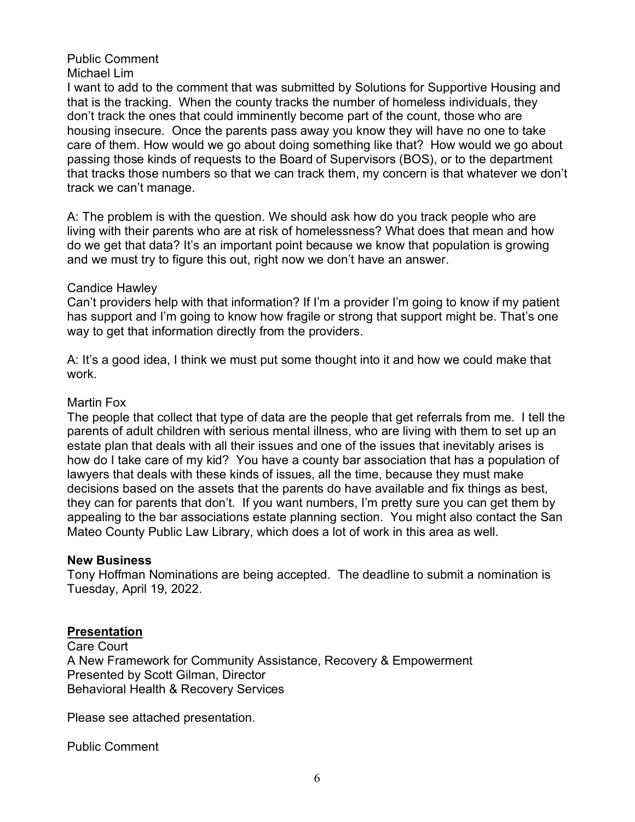#### Public Comment Michael Lim

I want to add to the comment that was submitted by Solutions for Supportive Housing and that is the tracking. When the county tracks the number of homeless individuals, they don't track the ones that could imminently become part of the count, those who are housing insecure. Once the parents pass away you know they will have no one to take care of them. How would we go about doing something like that? How would we go about passing those kinds of requests to the Board of Supervisors (BOS), or to the department that tracks those numbers so that we can track them, my concern is that whatever we don't track we can't manage.

A: The problem is with the question. We should ask how do you track people who are living with their parents who are at risk of homelessness? What does that mean and how do we get that data? It's an important point because we know that population is growing and we must try to figure this out, right now we don't have an answer.

# Candice Hawley

Can't providers help with that information? If I'm a provider I'm going to know if my patient has support and I'm going to know how fragile or strong that support might be. That's one way to get that information directly from the providers.

A: It's a good idea, I think we must put some thought into it and how we could make that work.

#### Martin Fox

The people that collect that type of data are the people that get referrals from me. I tell the parents of adult children with serious mental illness, who are living with them to set up an estate plan that deals with all their issues and one of the issues that inevitably arises is how do I take care of my kid? You have a county bar association that has a population of lawyers that deals with these kinds of issues, all the time, because they must make decisions based on the assets that the parents do have available and fix things as best, they can for parents that don't. If you want numbers, I'm pretty sure you can get them by appealing to the bar associations estate planning section. You might also contact the San Mateo County Public Law Library, which does a lot of work in this area as well.

#### **New Business**

Tony Hoffman Nominations are being accepted. The deadline to submit a nomination is Tuesday, April 19, 2022.

#### **Presentation**

Care Court A New Framework for Community Assistance, Recovery & Empowerment Presented by Scott Gilman, Director Behavioral Health & Recovery Services

Please see attached presentation.

Public Comment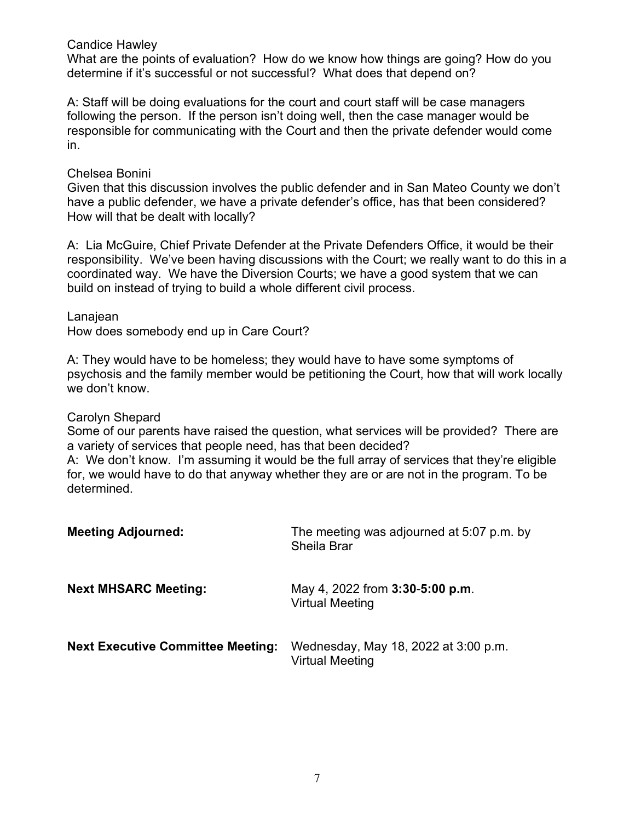Candice Hawley

What are the points of evaluation? How do we know how things are going? How do you determine if it's successful or not successful? What does that depend on?

A: Staff will be doing evaluations for the court and court staff will be case managers following the person. If the person isn't doing well, then the case manager would be responsible for communicating with the Court and then the private defender would come in.

#### Chelsea Bonini

Given that this discussion involves the public defender and in San Mateo County we don't have a public defender, we have a private defender's office, has that been considered? How will that be dealt with locally?

A: Lia McGuire, Chief Private Defender at the Private Defenders Office, it would be their responsibility. We've been having discussions with the Court; we really want to do this in a coordinated way. We have the Diversion Courts; we have a good system that we can build on instead of trying to build a whole different civil process.

Lanajean

How does somebody end up in Care Court?

A: They would have to be homeless; they would have to have some symptoms of psychosis and the family member would be petitioning the Court, how that will work locally we don't know.

#### Carolyn Shepard

Some of our parents have raised the question, what services will be provided? There are a variety of services that people need, has that been decided?

A: We don't know. I'm assuming it would be the full array of services that they're eligible for, we would have to do that anyway whether they are or are not in the program. To be determined.

| <b>Meeting Adjourned:</b>                | The meeting was adjourned at 5:07 p.m. by<br>Sheila Brar         |
|------------------------------------------|------------------------------------------------------------------|
| <b>Next MHSARC Meeting:</b>              | May 4, 2022 from <b>3:30-5:00 p.m.</b><br><b>Virtual Meeting</b> |
| <b>Next Executive Committee Meeting:</b> | Wednesday, May 18, 2022 at 3:00 p.m.<br><b>Virtual Meeting</b>   |